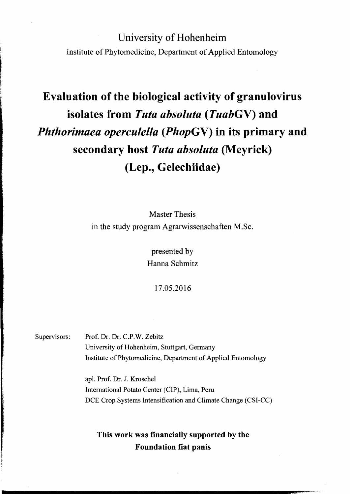# University of Hohenheim Institute of Phytomedicine, Department of Applied Entomology

# Evaluation of the biological activity of granulovirus isolates from *Tuta absoluta (TuabGV)* and *Phthorimaea operculella (PhopGV)* in its primary and secondary host *Tuta absoluta* (Meyrick) (Lep., Gelechiidae)

Master Thesis in the study program Agrarwissenschaften M.Sc.

> presented by Hanna Schmitz

> > 17.05.2016

Supervisors: Prof. Dr. Dr. C.P.W. Zebitz University of Hohenheim, Stuttgart, Germany Institute of Phytomedicine, Department of Applied Entomology

> apl. Prof. Dr. J. Kroschel International Potato Center (CIP), Lima, Peru DCE Crop Systems Intensification and Climate Change (CSI-CC)

#### This work was financially supported by the Foundation fiat panis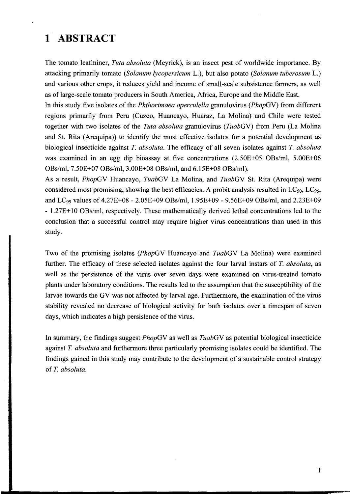## **1 ABSTRACT**

The tomato leafminer, *Tuta absoluta* (Meyrick), is an insect pest of worldwide importance. By attacking primarily tomato *(Solanum lycopersicum* L.), but also potato *(Solanum tuberosum* L.) and various other crops, it reduces yield and income of small-scale subsistence farmers, as well as of large-scale tomato producers in South America, Africa, Europe and the Middle East.

In this study five isolates of the *Phthorimaea operculella* granulovirus *(PhopGV)* from different regions primarily from Peru (Cuzco, Huancayo, Huaraz, La Molina) and Chile were tested together with two isolates of the *Tuta absoluta* granulovirus *(TuabGV)* from Peru *(La Molina*) and St. Rita (Arequipa)) to identify the most effective isolates for a potential development as biological insecticide against *T. absoluta.* The efficacy of all seven isolates against *T. absoluta*  was examined in an egg dip bioassay at five concentrations (2.50E+05 *OBs/ml,* 5.00E+06 OBs/ml, 7.50E+07 OBs/ml, 3.00E+08 OBs/ml, and 6.15E+08 OBs/ml).

As a result, *PhopGV* Huancayo, *TuabGV* La Molina, and *TuabGV* St. Rita (Arequipa) were considered most promising, showing the best efficacies. A probit analysis resulted in  $LC_{50}$ ,  $LC_{95}$ , and LC99 values of 4.27E+08 - 2.05E+09 OBs/ml, 1.95E+09 - 9.56E+09 OBs/ml, and 2.23E+09 - 1.27E+10 OBs/ml, respectively. These mathematically derived lethaI concentrations led to the conclusion that a successful control may require higher virus concentrations than used in this study.

Two of the promising isolates *(PhopGV* Huancayo and *TuabGV* La Molina) were examined further. The efficacy of these selected isolates against the four larval instars of *T. absoluta,* as weIl as the persistence of the virus over seven days were examined on virus-treated tomato plants under laboratory conditions. The results led to the assumption that the susceptibility of the larvae towards the GV was not affected by larval age. Furthermore, the examination of the virus stability revealed no decrease of biological activity for both isolates over a timespan of seven days, which indicates a high persistence of the virus.

In summary, the findings suggest *PhopGV* as weIl as *TuabGV* as potential biological insecticide against *T. absoluta* and furthermore three particularly promising isolates could be identified. The findings gained in this study may contribute to the development of a sustainable control strategy of *T. absoluta.*